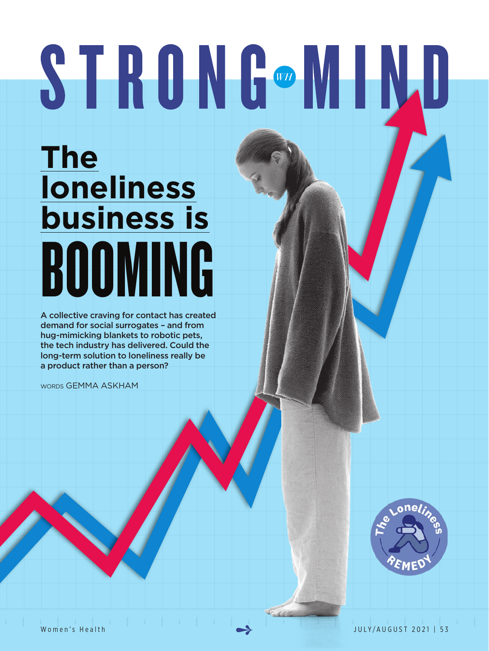# STRONG®MIND

**BOOMING The loneliness business is**

A collective craving for contact has created demand for social surrogates – and from hug-mimicking blankets to robotic pets, the tech industry has delivered. Could the long-term solution to loneliness really be a product rather than a person?

words GEMMA ASKHAM

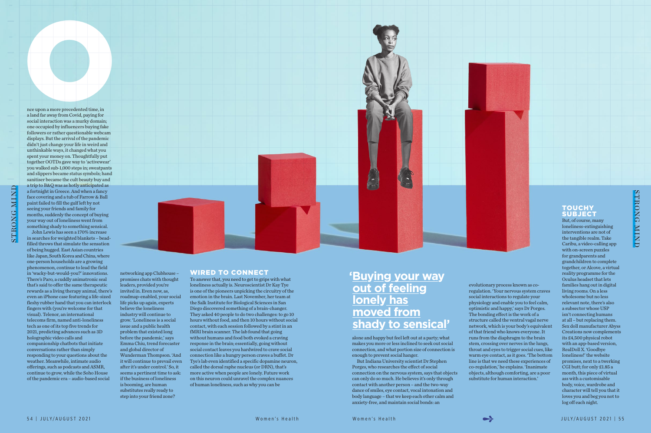networking app Clubhouse – promises chats with thought leaders, provided you're invited in. Even now, as, roadmap-enabled, your social life picks up again, experts believe the loneliness industry will continue to grow. 'Loneliness is a social issue and a public health problem that existed long before the pandemic,' says Emma Chiu, trend forecaster and global director of Wunderman Thompson. 'And it will continue to prevail even after it's under control.' So, it seems a pertinent time to ask: if the business of loneliness is booming, are human substitutes really ready to step into your friend zone?



# WIRED TO CONNECT

To answer that, you need to get to grips with what loneliness actually is. Neuroscientist Dr Kay Tye is one of the pioneers unpicking the circuitry of the emotion in the brain. Last November, her team at the Salk Institute for Biological Sciences in San Diego discovered something of a brain-changer. They asked 40 people to do two challenges: to go 10 hours without food, and then 10 hours without social contact, with each session followed by a stint in an fMRI brain scanner. The lab found that going without humans and food both evoked a craving response in the brain; essentially, going without social contact leaves you hardwired to crave social connection like a hungry person craves a buffet. Dr Tye's lab even identified a specific dopamine neuron, called the dorsal raphe nucleus (or DRN), that's more active when people are lonely. Future work on this neuron could unravel the complex nuances of human loneliness, such as why you can be

alone and happy but feel left out at a party; what makes you more or less inclined to seek out social connection, and what portion size of connection is enough to prevent social hanger.

nce upon a more precedented time, in<br>a land far away from Covid, paying for<br>social interaction was a murky domain; one occupied by influencers buying fake followers or rather questionable webcam displays. But the arrival of the pandemic didn't just change your life in weird and unthinkable ways, it changed what you spent your money on. Thoughtfully put together OOTDs gave way to 'activewear' you walked sub-1,000 steps in; sweatpants and slippers became status symbols; hand sanitiser became the cult beauty buy and a trip to B&Q was as hotly anticipated as a fortnight in Greece. And when a fancy face covering and a tub of Farrow & Ball paint failed to fill the gulf left by not seeing your friends and family for months, suddenly the concept of buying your way out of loneliness went from something shady to something sensical. John Lewis has seen a 170% increase in searches for weighted blankets – bead-

> But Indiana University scientist Dr Stephen Porges, who researches the effect of social connection on the nervous system, says that objects can only do so much. He believes it's only through contact with another person – and the two-way dance of smiles, eye contact, vocal intonation and body language – that we keep each other calm and anxiety-free, and maintain social bonds: an

evolutionary process known as coregulation. 'Your nervous system craves social interactions to regulate your physiology and enable you to feel calm, optimistic and happy,' says Dr Porges. The bonding effect is the work of a structure called the ventral vagal nerve network, which is your body's equivalent of that friend who knows everyone. It runs from the diaphragm to the brain stem, crossing over nerves in the lungs, throat and eyes to trigger social cues, like warm eye contact, as it goes. 'The bottom line is that we need these experiences of co-regulation,' he explains. 'Inanimate objects, although comforting, are a poor substitute for human interaction.'

# **TOUCHY SUBJECT**

# STRONG MIND STRONG MIND

# **'Buying your way out of feeling lonely has moved from shady to sensical'**

nce upon a more precedented time, in a land far away from Covid, paying for social interaction was a murky domain;

filled throws that simulate the sensation of being hugged. East Asian countries like Japan, South Korea and China, where one-person households are a growing phenomenon, continue to lead the field in 'wacky-but-would-you?' innovations. There's Paro, a cuddly animatronic seal that's said to offer the same therapeutic rewards as a living therapy animal, there's even an iPhone case featuring a life-sized fleshy rubber hand that you can interlock fingers with (you're welcome for that visual). Telenor, an international telecoms firm, named anti-loneliness tech as one of its top five trends for 2021, predicting advances such as 3D holographic video calls and companionship chatbots that initiate conversations rather than simply responding to your questions about the weather. Meanwhile, intimate audio offerings, such as podcasts and ASMR, continue to grow, while the Soho House of the pandemic era – audio-based social

But, of course, many loneliness-extinguishing interventions are not of the tangible realm. Take Caribu, a video-calling app with on-screen puzzles for grandparents and grandchildren to complete together, or Alcove, a virtual reality programme for the Oculus headset that lets families hang out in digital living rooms. On a less wholesome but no less relevant note, there's also a subsector whose USP isn't connecting humans at all – but replacing them. Sex doll manufacturer Abyss Creations now complements its £4,500 physical robot with an app-based version, RealDoll X. 'Goodbye loneliness!' the website promises, next to a twerking CGI butt; for only £1.85 a month, this piece of virtual ass with a customisable body, voice, wardrobe and character will tell you that it loves you and beg you not to log off each night.